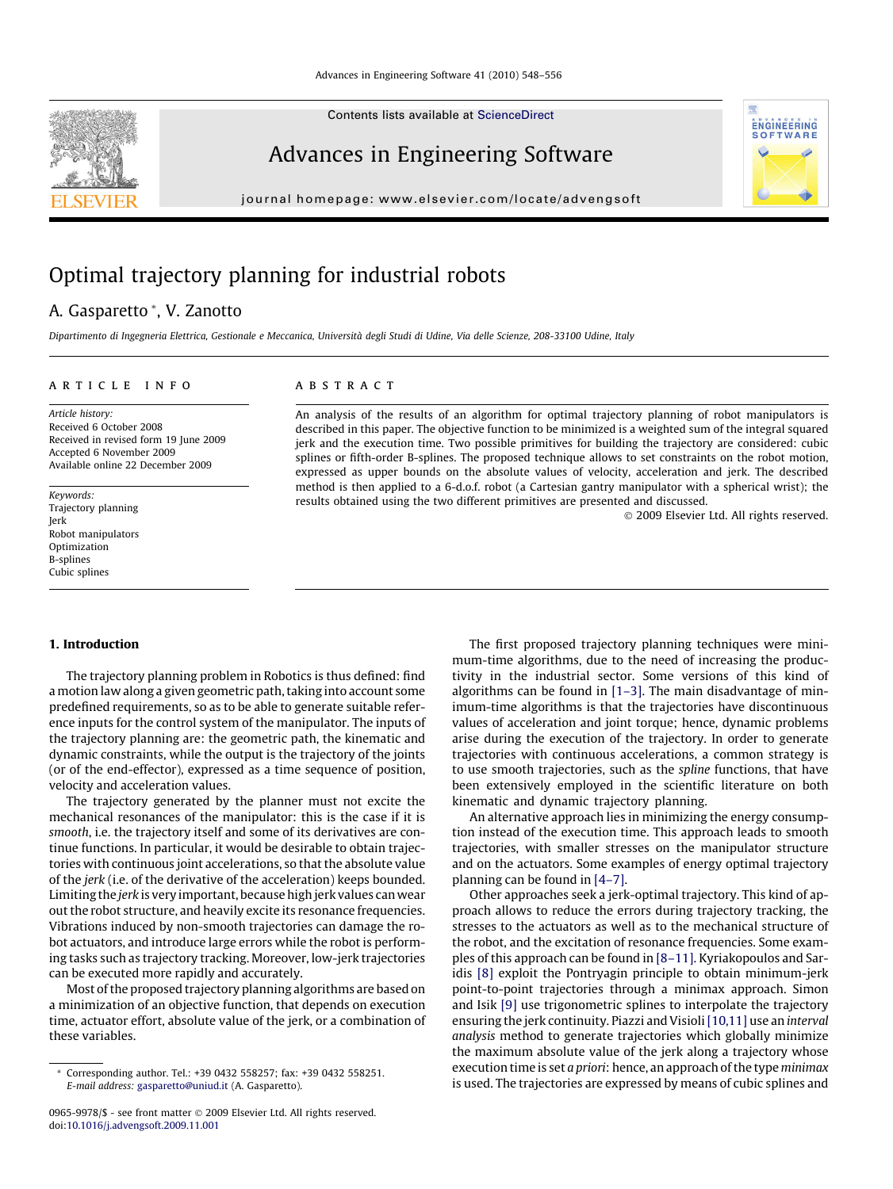Contents lists available at [ScienceDirect](http://www.sciencedirect.com/science/journal/09659978)

# Advances in Engineering Software

journal homepage: [www.elsevier.com/locate/advengsoft](http://www.elsevier.com/locate/advengsoft)

# Optimal trajectory planning for industrial robots

# A. Gasparetto \*, V. Zanotto

Dipartimento di Ingegneria Elettrica, Gestionale e Meccanica, Università degli Studi di Udine, Via delle Scienze, 208-33100 Udine, Italy

### article info

Article history: Received 6 October 2008 Received in revised form 19 June 2009 Accepted 6 November 2009 Available online 22 December 2009

Keywords: Trajectory planning Jerk Robot manipulators Optimization B-splines Cubic splines

# **ABSTRACT**

An analysis of the results of an algorithm for optimal trajectory planning of robot manipulators is described in this paper. The objective function to be minimized is a weighted sum of the integral squared jerk and the execution time. Two possible primitives for building the trajectory are considered: cubic splines or fifth-order B-splines. The proposed technique allows to set constraints on the robot motion, expressed as upper bounds on the absolute values of velocity, acceleration and jerk. The described method is then applied to a 6-d.o.f. robot (a Cartesian gantry manipulator with a spherical wrist); the results obtained using the two different primitives are presented and discussed.

- 2009 Elsevier Ltd. All rights reserved.

ENGINEERING SOFTWARE

#### 1. Introduction

The trajectory planning problem in Robotics is thus defined: find a motion law along a given geometric path, taking into account some predefined requirements, so as to be able to generate suitable reference inputs for the control system of the manipulator. The inputs of the trajectory planning are: the geometric path, the kinematic and dynamic constraints, while the output is the trajectory of the joints (or of the end-effector), expressed as a time sequence of position, velocity and acceleration values.

The trajectory generated by the planner must not excite the mechanical resonances of the manipulator: this is the case if it is smooth, i.e. the trajectory itself and some of its derivatives are continue functions. In particular, it would be desirable to obtain trajectories with continuous joint accelerations, so that the absolute value of the jerk (i.e. of the derivative of the acceleration) keeps bounded. Limiting the jerk is very important, because high jerk values can wear out the robot structure, and heavily excite its resonance frequencies. Vibrations induced by non-smooth trajectories can damage the robot actuators, and introduce large errors while the robot is performing tasks such as trajectory tracking. Moreover, low-jerk trajectories can be executed more rapidly and accurately.

Most of the proposed trajectory planning algorithms are based on a minimization of an objective function, that depends on execution time, actuator effort, absolute value of the jerk, or a combination of these variables.

The first proposed trajectory planning techniques were minimum-time algorithms, due to the need of increasing the productivity in the industrial sector. Some versions of this kind of algorithms can be found in [\[1–3\]](#page--1-0). The main disadvantage of minimum-time algorithms is that the trajectories have discontinuous values of acceleration and joint torque; hence, dynamic problems arise during the execution of the trajectory. In order to generate trajectories with continuous accelerations, a common strategy is to use smooth trajectories, such as the spline functions, that have been extensively employed in the scientific literature on both kinematic and dynamic trajectory planning.

An alternative approach lies in minimizing the energy consumption instead of the execution time. This approach leads to smooth trajectories, with smaller stresses on the manipulator structure and on the actuators. Some examples of energy optimal trajectory planning can be found in [\[4–7\].](#page--1-0)

Other approaches seek a jerk-optimal trajectory. This kind of approach allows to reduce the errors during trajectory tracking, the stresses to the actuators as well as to the mechanical structure of the robot, and the excitation of resonance frequencies. Some examples of this approach can be found in [\[8–11\].](#page--1-0) Kyriakopoulos and Saridis [\[8\]](#page--1-0) exploit the Pontryagin principle to obtain minimum-jerk point-to-point trajectories through a minimax approach. Simon and Isik [\[9\]](#page--1-0) use trigonometric splines to interpolate the trajectory ensuring the jerk continuity. Piazzi and Visioli [\[10,11\]](#page--1-0) use an interval analysis method to generate trajectories which globally minimize the maximum absolute value of the jerk along a trajectory whose execution time is set a priori: hence, an approach of the type minimax is used. The trajectories are expressed by means of cubic splines and



<sup>\*</sup> Corresponding author. Tel.: +39 0432 558257; fax: +39 0432 558251. E-mail address: [gasparetto@uniud.it](mailto:gasparetto@uniud.it) (A. Gasparetto).

<sup>0965-9978/\$ -</sup> see front matter © 2009 Elsevier Ltd. All rights reserved. doi:[10.1016/j.advengsoft.2009.11.001](http://dx.doi.org/10.1016/j.advengsoft.2009.11.001)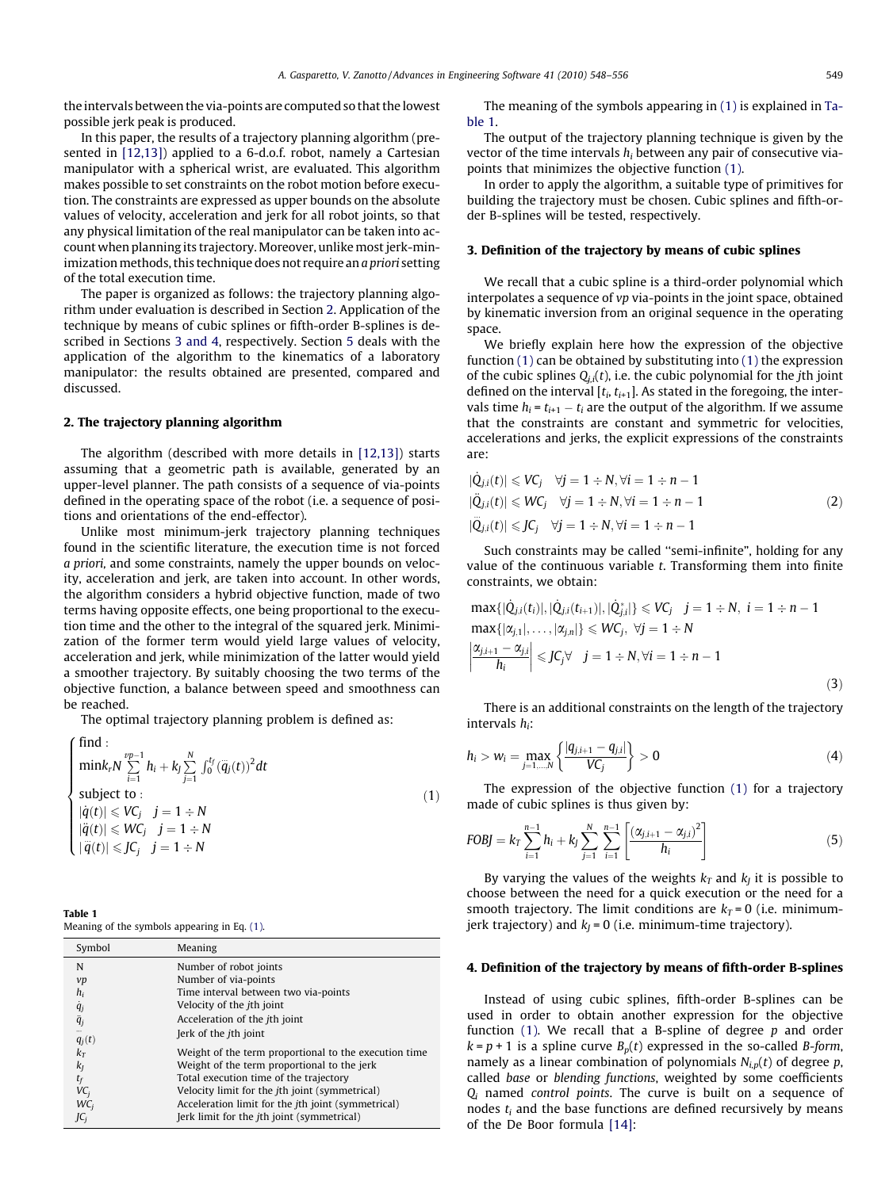the intervals between the via-points are computed so that the lowest possible jerk peak is produced.

In this paper, the results of a trajectory planning algorithm (pre-sented in [\[12,13\]](#page--1-0)) applied to a 6-d.o.f. robot, namely a Cartesian manipulator with a spherical wrist, are evaluated. This algorithm makes possible to set constraints on the robot motion before execution. The constraints are expressed as upper bounds on the absolute values of velocity, acceleration and jerk for all robot joints, so that any physical limitation of the real manipulator can be taken into account when planning its trajectory.Moreover, unlikemost jerk-minimization methods, this technique does not require an a priori setting of the total execution time.

The paper is organized as follows: the trajectory planning algorithm under evaluation is described in Section 2. Application of the technique by means of cubic splines or fifth-order B-splines is described in Sections 3 and 4, respectively. Section [5](#page--1-0) deals with the application of the algorithm to the kinematics of a laboratory manipulator: the results obtained are presented, compared and discussed.

### 2. The trajectory planning algorithm

The algorithm (described with more details in [\[12,13\]](#page--1-0)) starts assuming that a geometric path is available, generated by an upper-level planner. The path consists of a sequence of via-points defined in the operating space of the robot (i.e. a sequence of positions and orientations of the end-effector).

Unlike most minimum-jerk trajectory planning techniques found in the scientific literature, the execution time is not forced a priori, and some constraints, namely the upper bounds on velocity, acceleration and jerk, are taken into account. In other words, the algorithm considers a hybrid objective function, made of two terms having opposite effects, one being proportional to the execution time and the other to the integral of the squared jerk. Minimization of the former term would yield large values of velocity, acceleration and jerk, while minimization of the latter would yield a smoother trajectory. By suitably choosing the two terms of the objective function, a balance between speed and smoothness can be reached.

The optimal trajectory planning problem is defined as:

$$
\begin{cases}\n\text{find}: \\
\min k_r N \sum_{i=1}^{vp-1} h_i + k_j \sum_{j=1}^N \int_0^{t_j} (\ddot{q}_j(t))^2 dt \\
\text{subject to}: \\
|\dot{q}(t)| \leqslant V C_j \quad j = 1 \div N \\
|\ddot{q}(t)| \leqslant W C_j \quad j = 1 \div N \\
|\ddot{q}(t)| \leqslant C_j \quad j = 1 \div N\n\end{cases} \tag{1}
$$

| Table 1 |  |                                              |  |  |
|---------|--|----------------------------------------------|--|--|
|         |  | Meaning of the symbols appearing in Eq. (1). |  |  |

| Symbol          | Meaning                                                |
|-----------------|--------------------------------------------------------|
| N               | Number of robot joints                                 |
| vp              | Number of via-points                                   |
| $h_i$           | Time interval between two via-points                   |
| $\dot{q}_j$     | Velocity of the <i>i</i> th joint                      |
| $\ddot{q_j}$    | Acceleration of the <i>ith</i> joint                   |
| <br>$q_j(t)$    | Jerk of the <i>j</i> th joint                          |
| $k_T$           | Weight of the term proportional to the execution time  |
| $k_I$           | Weight of the term proportional to the jerk            |
| $t_f$           | Total execution time of the trajectory                 |
| $VC_i$          | Velocity limit for the <i>j</i> th joint (symmetrical) |
| $WC_i$          | Acceleration limit for the jth joint (symmetrical)     |
| JC <sub>i</sub> | Jerk limit for the jth joint (symmetrical)             |

The meaning of the symbols appearing in (1) is explained in Table 1.

The output of the trajectory planning technique is given by the vector of the time intervals  $h_i$  between any pair of consecutive viapoints that minimizes the objective function (1).

In order to apply the algorithm, a suitable type of primitives for building the trajectory must be chosen. Cubic splines and fifth-order B-splines will be tested, respectively.

## 3. Definition of the trajectory by means of cubic splines

We recall that a cubic spline is a third-order polynomial which interpolates a sequence of vp via-points in the joint space, obtained by kinematic inversion from an original sequence in the operating space.

We briefly explain here how the expression of the objective function  $(1)$  can be obtained by substituting into  $(1)$  the expression of the cubic splines  $Q_i(t)$ , i.e. the cubic polynomial for the *j*th joint defined on the interval  $[t_i, t_{i+1}]$ . As stated in the foregoing, the intervals time  $h_i$  =  $t_{i+1} - t_i$  are the output of the algorithm. If we assume that the constraints are constant and symmetric for velocities, accelerations and jerks, the explicit expressions of the constraints are:

$$
|\dot{Q}_{j,i}(t)| \leqslant VC_j \quad \forall j = 1 \div N, \forall i = 1 \div n - 1
$$
  

$$
|\ddot{Q}_{j,i}(t)| \leqslant WC_j \quad \forall j = 1 \div N, \forall i = 1 \div n - 1
$$
  

$$
|\ddot{Q}_{j,i}(t)| \leqslant JC_j \quad \forall j = 1 \div N, \forall i = 1 \div n - 1
$$
  
(2)

Such constraints may be called ''semi-infinite", holding for any value of the continuous variable t. Transforming them into finite constraints, we obtain:

$$
\max\{|\dot{Q}_{j,i}(t_i)|, |\dot{Q}_{j,i}(t_{i+1})|, |\dot{Q}_{j,i}^*| \} \leq V\dot{C}_j \quad j = 1 \div N, \quad i = 1 \div n - 1
$$
\n
$$
\max\{|\alpha_{j,1}|, \dots, |\alpha_{j,n}|\} \leq W\dot{C}_j, \quad \forall j = 1 \div N
$$
\n
$$
\left|\frac{\alpha_{j,i+1} - \alpha_{j,i}}{h_i}\right| \leq J\dot{C}_j \forall \quad j = 1 \div N, \forall i = 1 \div n - 1
$$
\n(3)

There is an additional constraints on the length of the trajectory intervals  $h_i$ :

$$
h_i > w_i = \max_{j=1,\dots,N} \left\{ \frac{|q_{j,i+1} - q_{j,i}|}{V C_j} \right\} > 0
$$
 (4)

The expression of the objective function (1) for a trajectory made of cubic splines is thus given by:

$$
FOBJ = k_T \sum_{i=1}^{n-1} h_i + k_j \sum_{j=1}^{N} \sum_{i=1}^{n-1} \left[ \frac{(\alpha_{j,i+1} - \alpha_{j,i})^2}{h_i} \right]
$$
(5)

By varying the values of the weights  $k<sub>T</sub>$  and  $k<sub>I</sub>$  it is possible to choose between the need for a quick execution or the need for a smooth trajectory. The limit conditions are  $k_T = 0$  (i.e. minimumjerk trajectory) and  $k<sub>I</sub> = 0$  (i.e. minimum-time trajectory).

## 4. Definition of the trajectory by means of fifth-order B-splines

Instead of using cubic splines, fifth-order B-splines can be used in order to obtain another expression for the objective function  $(1)$ . We recall that a B-spline of degree p and order  $k = p + 1$  is a spline curve  $B_p(t)$  expressed in the so-called B-form, namely as a linear combination of polynomials  $N_{i,p}(t)$  of degree p, called base or blending functions, weighted by some coefficients  $Q_i$  named control points. The curve is built on a sequence of nodes  $t_i$  and the base functions are defined recursively by means of the De Boor formula [\[14\]:](#page--1-0)